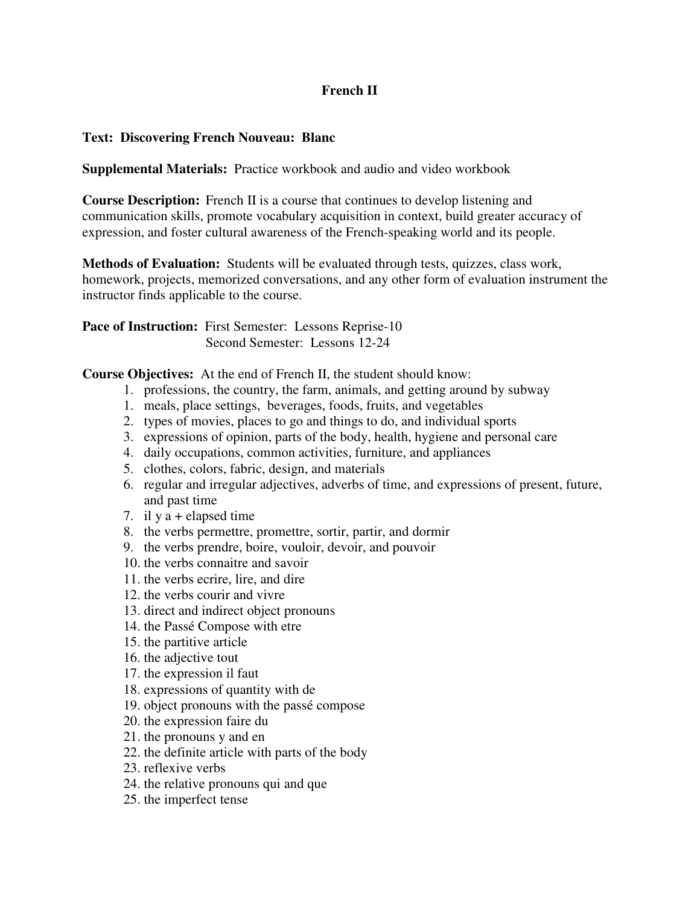## **French II**

## **Text: Discovering French Nouveau: Blanc**

**Supplemental Materials:** Practice workbook and audio and video workbook

**Course Description:** French II is a course that continues to develop listening and communication skills, promote vocabulary acquisition in context, build greater accuracy of expression, and foster cultural awareness of the French-speaking world and its people.

**Methods of Evaluation:** Students will be evaluated through tests, quizzes, class work, homework, projects, memorized conversations, and any other form of evaluation instrument the instructor finds applicable to the course.

Pace of Instruction: First Semester: Lessons Reprise-10 Second Semester: Lessons 12-24

**Course Objectives:** At the end of French II, the student should know:

- 1. professions, the country, the farm, animals, and getting around by subway
- 1. meals, place settings, beverages, foods, fruits, and vegetables
- 2. types of movies, places to go and things to do, and individual sports
- 3. expressions of opinion, parts of the body, health, hygiene and personal care
- 4. daily occupations, common activities, furniture, and appliances
- 5. clothes, colors, fabric, design, and materials
- 6. regular and irregular adjectives, adverbs of time, and expressions of present, future, and past time
- 7. il y a + elapsed time
- 8. the verbs permettre, promettre, sortir, partir, and dormir
- 9. the verbs prendre, boire, vouloir, devoir, and pouvoir
- 10. the verbs connaitre and savoir
- 11. the verbs ecrire, lire, and dire
- 12. the verbs courir and vivre
- 13. direct and indirect object pronouns
- 14. the Passé Compose with etre
- 15. the partitive article
- 16. the adjective tout
- 17. the expression il faut
- 18. expressions of quantity with de
- 19. object pronouns with the passé compose
- 20. the expression faire du
- 21. the pronouns y and en
- 22. the definite article with parts of the body
- 23. reflexive verbs
- 24. the relative pronouns qui and que
- 25. the imperfect tense